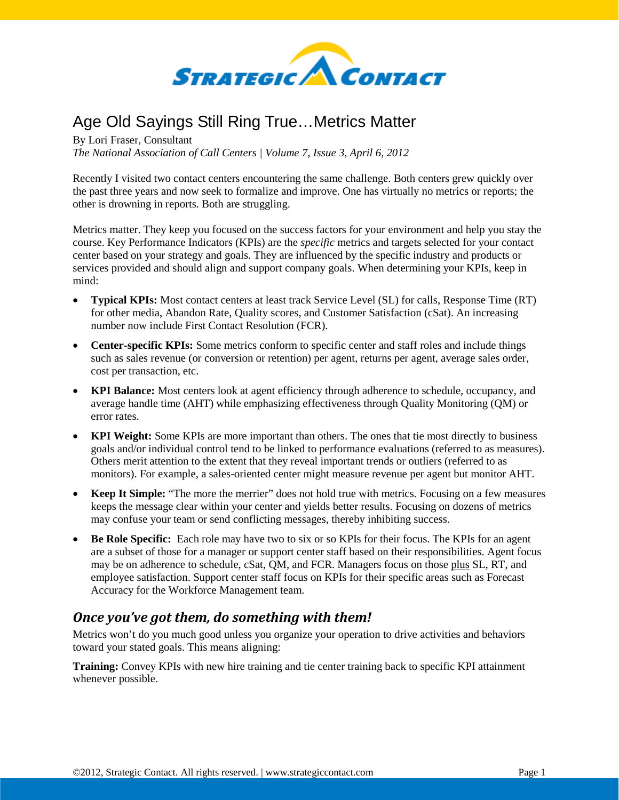

## Age Old Sayings Still Ring True…Metrics Matter

By Lori Fraser, Consultant *The National Association of Call Centers | Volume 7, Issue 3, April 6, 2012*

Recently I visited two contact centers encountering the same challenge. Both centers grew quickly over the past three years and now seek to formalize and improve. One has virtually no metrics or reports; the other is drowning in reports. Both are struggling.

Metrics matter. They keep you focused on the success factors for your environment and help you stay the course. Key Performance Indicators (KPIs) are the *specific* metrics and targets selected for your contact center based on your strategy and goals. They are influenced by the specific industry and products or services provided and should align and support company goals. When determining your KPIs, keep in mind:

- **Typical KPIs:** Most contact centers at least track Service Level (SL) for calls, Response Time (RT) for other media, Abandon Rate, Quality scores, and Customer Satisfaction (cSat). An increasing number now include First Contact Resolution (FCR).
- **Center-specific KPIs:** Some metrics conform to specific center and staff roles and include things such as sales revenue (or conversion or retention) per agent, returns per agent, average sales order, cost per transaction, etc.
- **KPI Balance:** Most centers look at agent efficiency through adherence to schedule, occupancy, and average handle time (AHT) while emphasizing effectiveness through Quality Monitoring (QM) or error rates.
- **KPI Weight:** Some KPIs are more important than others. The ones that tie most directly to business goals and/or individual control tend to be linked to performance evaluations (referred to as measures). Others merit attention to the extent that they reveal important trends or outliers (referred to as monitors). For example, a sales-oriented center might measure revenue per agent but monitor AHT.
- **Keep It Simple:** "The more the merrier" does not hold true with metrics. Focusing on a few measures keeps the message clear within your center and yields better results. Focusing on dozens of metrics may confuse your team or send conflicting messages, thereby inhibiting success.
- **Be Role Specific:** Each role may have two to six or so KPIs for their focus. The KPIs for an agent are a subset of those for a manager or support center staff based on their responsibilities. Agent focus may be on adherence to schedule, cSat, QM, and FCR. Managers focus on those plus SL, RT, and employee satisfaction. Support center staff focus on KPIs for their specific areas such as Forecast Accuracy for the Workforce Management team.

## *Once you've got them, do something with them!*

Metrics won't do you much good unless you organize your operation to drive activities and behaviors toward your stated goals. This means aligning:

**Training:** Convey KPIs with new hire training and tie center training back to specific KPI attainment whenever possible.